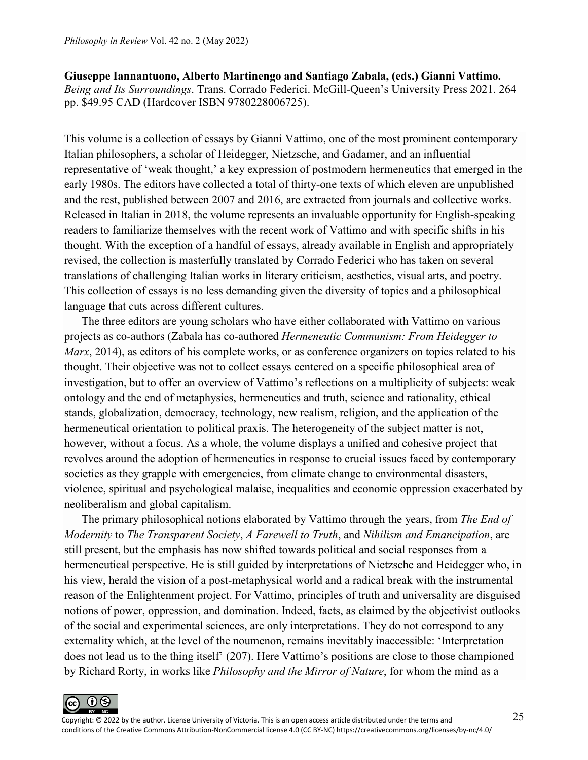**[Giuseppe Iannantuono,](https://www.mqup.ca/iannantuono--giuseppe-contributor-120640.php) [Alberto Martinengo](https://www.mqup.ca/martinengo--alberto-contributor-120639.php) and [Santiago Zabala,](https://www.mqup.ca/zabala--santiago-contributor-107121.php) (eds.) Gianni Vattimo.** *Being and Its Surroundings*. Trans. Corrado Federici. McGill-Queen's University Press 2021. 264 pp. \$49.95 CAD (Hardcover ISBN 9780228006725).

This volume is a collection of essays by Gianni Vattimo, one of the most prominent contemporary Italian philosophers, a scholar of Heidegger, Nietzsche, and Gadamer, and an influential representative of 'weak thought,' a key expression of postmodern hermeneutics that emerged in the early 1980s. The editors have collected a total of thirty-one texts of which eleven are unpublished and the rest, published between 2007 and 2016, are extracted from journals and collective works. Released in Italian in 2018, the volume represents an invaluable opportunity for English-speaking readers to familiarize themselves with the recent work of Vattimo and with specific shifts in his thought. With the exception of a handful of essays, already available in English and appropriately revised, the collection is masterfully translated by Corrado Federici who has taken on several translations of challenging Italian works in literary criticism, aesthetics, visual arts, and poetry. This collection of essays is no less demanding given the diversity of topics and a philosophical language that cuts across different cultures.

The three editors are young scholars who have either collaborated with Vattimo on various projects as co-authors (Zabala has co-authored *Hermeneutic Communism: From Heidegger to Marx*, 2014), as editors of his complete works, or as conference organizers on topics related to his thought. Their objective was not to collect essays centered on a specific philosophical area of investigation, but to offer an overview of Vattimo's reflections on a multiplicity of subjects: weak ontology and the end of metaphysics, hermeneutics and truth, science and rationality, ethical stands, globalization, democracy, technology, new realism, religion, and the application of the hermeneutical orientation to political praxis. The heterogeneity of the subject matter is not, however, without a focus. As a whole, the volume displays a unified and cohesive project that revolves around the adoption of hermeneutics in response to crucial issues faced by contemporary societies as they grapple with emergencies, from climate change to environmental disasters, violence, spiritual and psychological malaise, inequalities and economic oppression exacerbated by neoliberalism and global capitalism.

The primary philosophical notions elaborated by Vattimo through the years, from *The End of Modernity* to *The Transparent Society*, *A Farewell to Truth*, and *Nihilism and Emancipation*, are still present, but the emphasis has now shifted towards political and social responses from a hermeneutical perspective. He is still guided by interpretations of Nietzsche and Heidegger who, in his view, herald the vision of a post-metaphysical world and a radical break with the instrumental reason of the Enlightenment project. For Vattimo, principles of truth and universality are disguised notions of power, oppression, and domination. Indeed, facts, as claimed by the objectivist outlooks of the social and experimental sciences, are only interpretations. They do not correspond to any externality which, at the level of the noumenon, remains inevitably inaccessible: 'Interpretation does not lead us to the thing itself' (207). Here Vattimo's positions are close to those championed by Richard Rorty, in works like *Philosophy and the Mirror of Nature*, for whom the mind as a

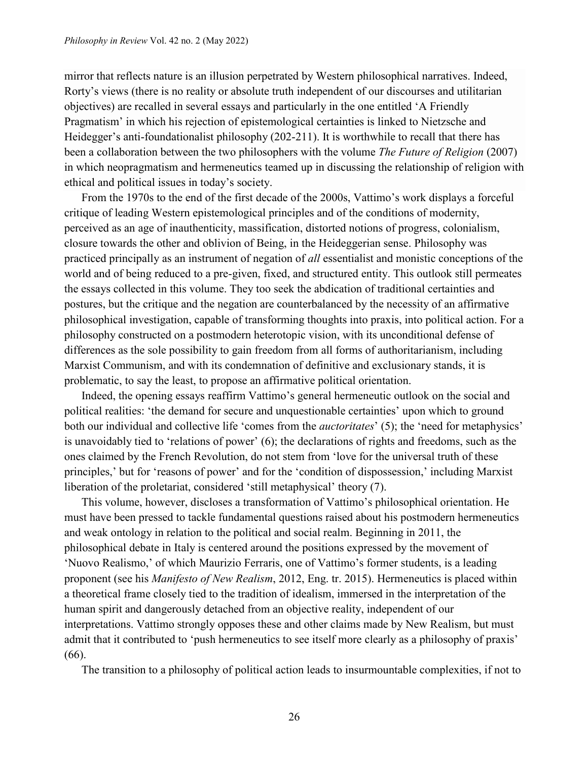mirror that reflects nature is an illusion perpetrated by Western philosophical narratives. Indeed, Rorty's views (there is no reality or absolute truth independent of our discourses and utilitarian objectives) are recalled in several essays and particularly in the one entitled 'A Friendly Pragmatism' in which his rejection of epistemological certainties is linked to Nietzsche and Heidegger's anti-foundationalist philosophy (202-211). It is worthwhile to recall that there has been a collaboration between the two philosophers with the volume *The Future of Religion* (2007) in which neopragmatism and hermeneutics teamed up in discussing the relationship of religion with ethical and political issues in today's society.

From the 1970s to the end of the first decade of the 2000s, Vattimo's work displays a forceful critique of leading Western epistemological principles and of the conditions of modernity, perceived as an age of inauthenticity, massification, distorted notions of progress, colonialism, closure towards the other and oblivion of Being, in the Heideggerian sense. Philosophy was practiced principally as an instrument of negation of *all* essentialist and monistic conceptions of the world and of being reduced to a pre-given, fixed, and structured entity. This outlook still permeates the essays collected in this volume. They too seek the abdication of traditional certainties and postures, but the critique and the negation are counterbalanced by the necessity of an affirmative philosophical investigation, capable of transforming thoughts into praxis, into political action. For a philosophy constructed on a postmodern heterotopic vision, with its unconditional defense of differences as the sole possibility to gain freedom from all forms of authoritarianism, including Marxist Communism, and with its condemnation of definitive and exclusionary stands, it is problematic, to say the least, to propose an affirmative political orientation.

Indeed, the opening essays reaffirm Vattimo's general hermeneutic outlook on the social and political realities: 'the demand for secure and unquestionable certainties' upon which to ground both our individual and collective life 'comes from the *auctoritates*' (5); the 'need for metaphysics' is unavoidably tied to 'relations of power' (6); the declarations of rights and freedoms, such as the ones claimed by the French Revolution, do not stem from 'love for the universal truth of these principles,' but for 'reasons of power' and for the 'condition of dispossession,' including Marxist liberation of the proletariat, considered 'still metaphysical' theory (7).

This volume, however, discloses a transformation of Vattimo's philosophical orientation. He must have been pressed to tackle fundamental questions raised about his postmodern hermeneutics and weak ontology in relation to the political and social realm. Beginning in 2011, the philosophical debate in Italy is centered around the positions expressed by the movement of 'Nuovo Realismo,' of which Maurizio Ferraris, one of Vattimo's former students, is a leading proponent (see his *Manifesto of New Realism*, 2012, Eng. tr. 2015). Hermeneutics is placed within a theoretical frame closely tied to the tradition of idealism, immersed in the interpretation of the human spirit and dangerously detached from an objective reality, independent of our interpretations. Vattimo strongly opposes these and other claims made by New Realism, but must admit that it contributed to 'push hermeneutics to see itself more clearly as a philosophy of praxis' (66).

The transition to a philosophy of political action leads to insurmountable complexities, if not to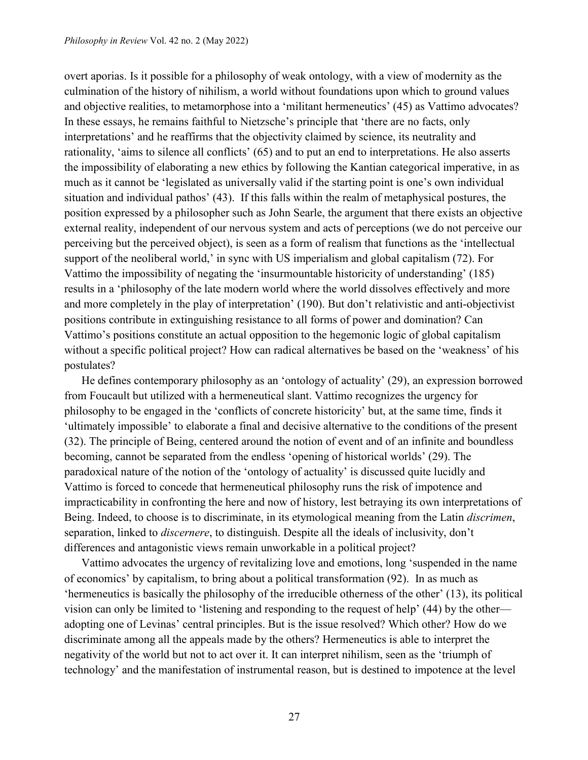overt aporias. Is it possible for a philosophy of weak ontology, with a view of modernity as the culmination of the history of nihilism, a world without foundations upon which to ground values and objective realities, to metamorphose into a 'militant hermeneutics' (45) as Vattimo advocates? In these essays, he remains faithful to Nietzsche's principle that 'there are no facts, only interpretations' and he reaffirms that the objectivity claimed by science, its neutrality and rationality, 'aims to silence all conflicts' (65) and to put an end to interpretations. He also asserts the impossibility of elaborating a new ethics by following the Kantian categorical imperative, in as much as it cannot be 'legislated as universally valid if the starting point is one's own individual situation and individual pathos' (43). If this falls within the realm of metaphysical postures, the position expressed by a philosopher such as John Searle, the argument that there exists an objective external reality, independent of our nervous system and acts of perceptions (we do not perceive our perceiving but the perceived object), is seen as a form of realism that functions as the 'intellectual support of the neoliberal world,' in sync with US imperialism and global capitalism (72). For Vattimo the impossibility of negating the 'insurmountable historicity of understanding' (185) results in a 'philosophy of the late modern world where the world dissolves effectively and more and more completely in the play of interpretation' (190). But don't relativistic and anti-objectivist positions contribute in extinguishing resistance to all forms of power and domination? Can Vattimo's positions constitute an actual opposition to the hegemonic logic of global capitalism without a specific political project? How can radical alternatives be based on the 'weakness' of his postulates?

He defines contemporary philosophy as an 'ontology of actuality' (29), an expression borrowed from Foucault but utilized with a hermeneutical slant. Vattimo recognizes the urgency for philosophy to be engaged in the 'conflicts of concrete historicity' but, at the same time, finds it 'ultimately impossible' to elaborate a final and decisive alternative to the conditions of the present (32). The principle of Being, centered around the notion of event and of an infinite and boundless becoming, cannot be separated from the endless 'opening of historical worlds' (29). The paradoxical nature of the notion of the 'ontology of actuality' is discussed quite lucidly and Vattimo is forced to concede that hermeneutical philosophy runs the risk of impotence and impracticability in confronting the here and now of history, lest betraying its own interpretations of Being. Indeed, to choose is to discriminate, in its etymological meaning from the Latin *discrimen*, separation, linked to *discernere*, to distinguish. Despite all the ideals of inclusivity, don't differences and antagonistic views remain unworkable in a political project?

Vattimo advocates the urgency of revitalizing love and emotions, long 'suspended in the name of economics' by capitalism, to bring about a political transformation (92). In as much as 'hermeneutics is basically the philosophy of the irreducible otherness of the other' (13), its political vision can only be limited to 'listening and responding to the request of help' (44) by the other adopting one of Levinas' central principles. But is the issue resolved? Which other? How do we discriminate among all the appeals made by the others? Hermeneutics is able to interpret the negativity of the world but not to act over it. It can interpret nihilism, seen as the 'triumph of technology' and the manifestation of instrumental reason, but is destined to impotence at the level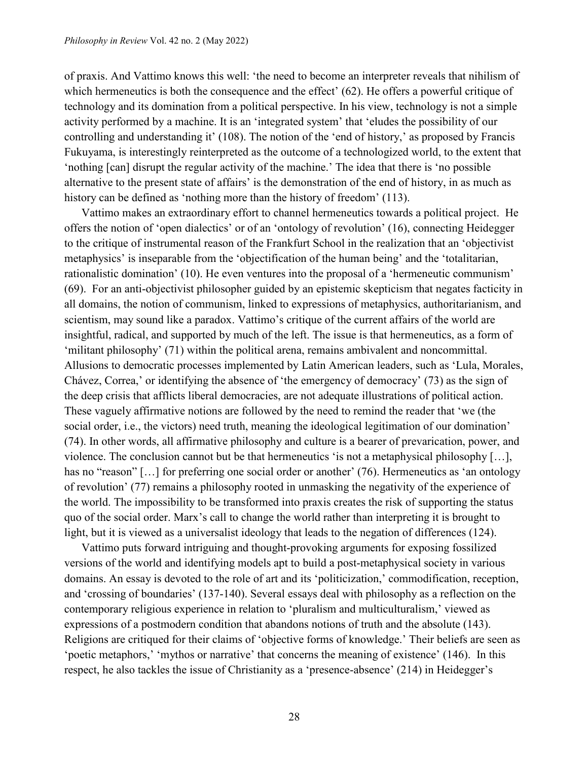of praxis. And Vattimo knows this well: 'the need to become an interpreter reveals that nihilism of which hermeneutics is both the consequence and the effect' (62). He offers a powerful critique of technology and its domination from a political perspective. In his view, technology is not a simple activity performed by a machine. It is an 'integrated system' that 'eludes the possibility of our controlling and understanding it' (108). The notion of the 'end of history,' as proposed by Francis Fukuyama, is interestingly reinterpreted as the outcome of a technologized world, to the extent that 'nothing [can] disrupt the regular activity of the machine.' The idea that there is 'no possible alternative to the present state of affairs' is the demonstration of the end of history, in as much as history can be defined as 'nothing more than the history of freedom' (113).

Vattimo makes an extraordinary effort to channel hermeneutics towards a political project. He offers the notion of 'open dialectics' or of an 'ontology of revolution' (16), connecting Heidegger to the critique of instrumental reason of the Frankfurt School in the realization that an 'objectivist metaphysics' is inseparable from the 'objectification of the human being' and the 'totalitarian, rationalistic domination' (10). He even ventures into the proposal of a 'hermeneutic communism' (69). For an anti-objectivist philosopher guided by an epistemic skepticism that negates facticity in all domains, the notion of communism, linked to expressions of metaphysics, authoritarianism, and scientism, may sound like a paradox. Vattimo's critique of the current affairs of the world are insightful, radical, and supported by much of the left. The issue is that hermeneutics, as a form of 'militant philosophy' (71) within the political arena, remains ambivalent and noncommittal. Allusions to democratic processes implemented by Latin American leaders, such as 'Lula, Morales, Chávez, Correa,' or identifying the absence of 'the emergency of democracy' (73) as the sign of the deep crisis that afflicts liberal democracies, are not adequate illustrations of political action. These vaguely affirmative notions are followed by the need to remind the reader that 'we (the social order, i.e., the victors) need truth, meaning the ideological legitimation of our domination' (74). In other words, all affirmative philosophy and culture is a bearer of prevarication, power, and violence. The conclusion cannot but be that hermeneutics 'is not a metaphysical philosophy […], has no "reason" [...] for preferring one social order or another' (76). Hermeneutics as 'an ontology of revolution' (77) remains a philosophy rooted in unmasking the negativity of the experience of the world. The impossibility to be transformed into praxis creates the risk of supporting the status quo of the social order. Marx's call to change the world rather than interpreting it is brought to light, but it is viewed as a universalist ideology that leads to the negation of differences (124).

Vattimo puts forward intriguing and thought-provoking arguments for exposing fossilized versions of the world and identifying models apt to build a post-metaphysical society in various domains. An essay is devoted to the role of art and its 'politicization,' commodification, reception, and 'crossing of boundaries' (137-140). Several essays deal with philosophy as a reflection on the contemporary religious experience in relation to 'pluralism and multiculturalism,' viewed as expressions of a postmodern condition that abandons notions of truth and the absolute (143). Religions are critiqued for their claims of 'objective forms of knowledge.' Their beliefs are seen as 'poetic metaphors,' 'mythos or narrative' that concerns the meaning of existence' (146). In this respect, he also tackles the issue of Christianity as a 'presence-absence' (214) in Heidegger's